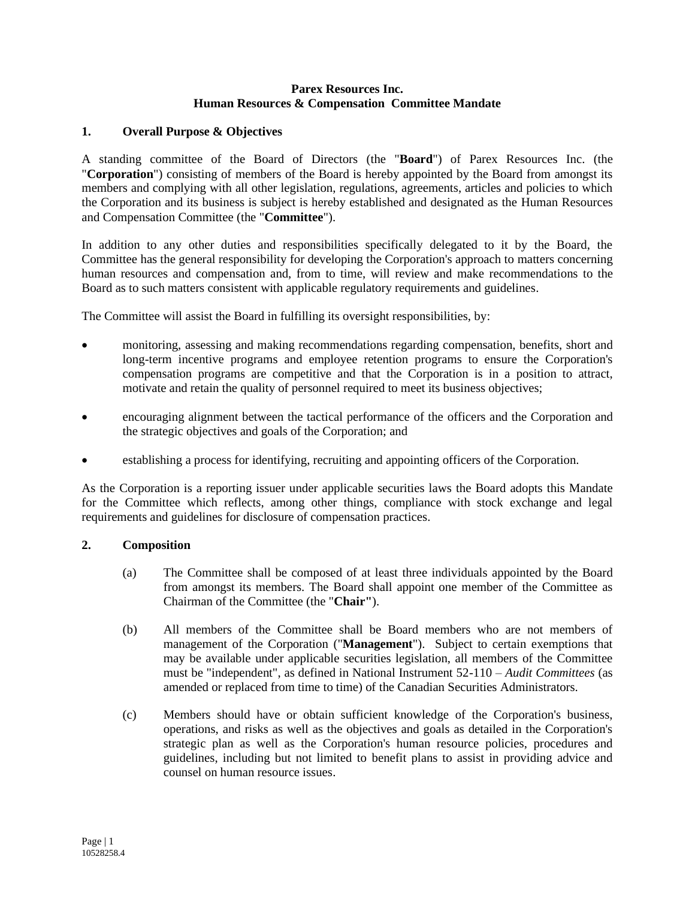## **Parex Resources Inc. Human Resources & Compensation Committee Mandate**

# **1. Overall Purpose & Objectives**

A standing committee of the Board of Directors (the "**Board**") of Parex Resources Inc. (the "**Corporation**") consisting of members of the Board is hereby appointed by the Board from amongst its members and complying with all other legislation, regulations, agreements, articles and policies to which the Corporation and its business is subject is hereby established and designated as the Human Resources and Compensation Committee (the "**Committee**").

In addition to any other duties and responsibilities specifically delegated to it by the Board, the Committee has the general responsibility for developing the Corporation's approach to matters concerning human resources and compensation and, from to time, will review and make recommendations to the Board as to such matters consistent with applicable regulatory requirements and guidelines.

The Committee will assist the Board in fulfilling its oversight responsibilities, by:

- monitoring, assessing and making recommendations regarding compensation, benefits, short and long-term incentive programs and employee retention programs to ensure the Corporation's compensation programs are competitive and that the Corporation is in a position to attract, motivate and retain the quality of personnel required to meet its business objectives;
- encouraging alignment between the tactical performance of the officers and the Corporation and the strategic objectives and goals of the Corporation; and
- establishing a process for identifying, recruiting and appointing officers of the Corporation.

As the Corporation is a reporting issuer under applicable securities laws the Board adopts this Mandate for the Committee which reflects, among other things, compliance with stock exchange and legal requirements and guidelines for disclosure of compensation practices.

## **2. Composition**

- (a) The Committee shall be composed of at least three individuals appointed by the Board from amongst its members. The Board shall appoint one member of the Committee as Chairman of the Committee (the "**Chair"**).
- (b) All members of the Committee shall be Board members who are not members of management of the Corporation ("**Management**"). Subject to certain exemptions that may be available under applicable securities legislation, all members of the Committee must be "independent", as defined in National Instrument 52-110 – *Audit Committees* (as amended or replaced from time to time) of the Canadian Securities Administrators.
- (c) Members should have or obtain sufficient knowledge of the Corporation's business, operations, and risks as well as the objectives and goals as detailed in the Corporation's strategic plan as well as the Corporation's human resource policies, procedures and guidelines, including but not limited to benefit plans to assist in providing advice and counsel on human resource issues.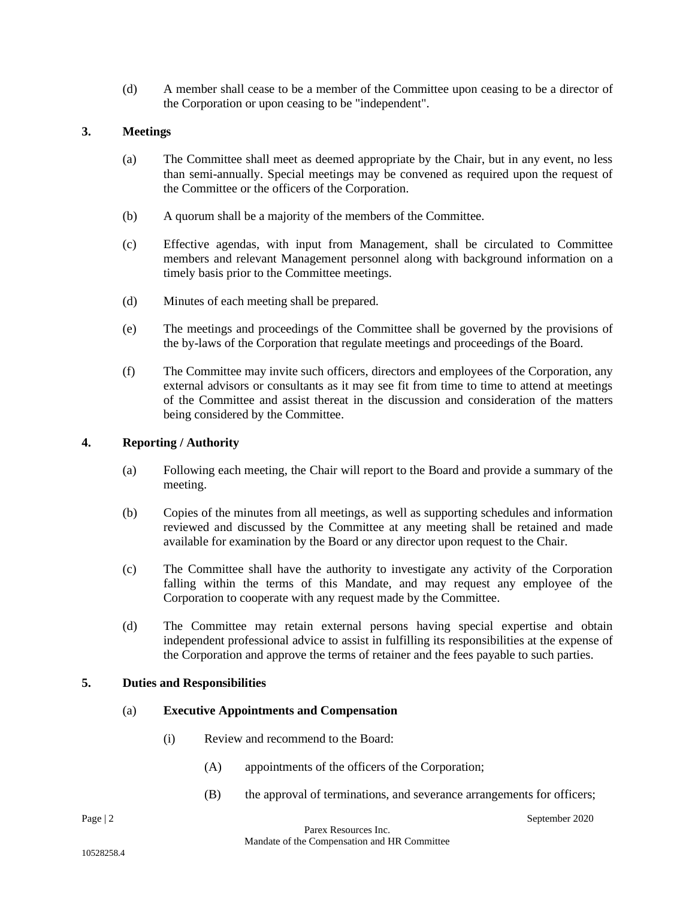(d) A member shall cease to be a member of the Committee upon ceasing to be a director of the Corporation or upon ceasing to be "independent".

# **3. Meetings**

- (a) The Committee shall meet as deemed appropriate by the Chair, but in any event, no less than semi-annually. Special meetings may be convened as required upon the request of the Committee or the officers of the Corporation.
- (b) A quorum shall be a majority of the members of the Committee.
- (c) Effective agendas, with input from Management, shall be circulated to Committee members and relevant Management personnel along with background information on a timely basis prior to the Committee meetings.
- (d) Minutes of each meeting shall be prepared.
- (e) The meetings and proceedings of the Committee shall be governed by the provisions of the by-laws of the Corporation that regulate meetings and proceedings of the Board.
- (f) The Committee may invite such officers, directors and employees of the Corporation, any external advisors or consultants as it may see fit from time to time to attend at meetings of the Committee and assist thereat in the discussion and consideration of the matters being considered by the Committee.

## **4. Reporting / Authority**

- (a) Following each meeting, the Chair will report to the Board and provide a summary of the meeting.
- (b) Copies of the minutes from all meetings, as well as supporting schedules and information reviewed and discussed by the Committee at any meeting shall be retained and made available for examination by the Board or any director upon request to the Chair.
- (c) The Committee shall have the authority to investigate any activity of the Corporation falling within the terms of this Mandate, and may request any employee of the Corporation to cooperate with any request made by the Committee.
- (d) The Committee may retain external persons having special expertise and obtain independent professional advice to assist in fulfilling its responsibilities at the expense of the Corporation and approve the terms of retainer and the fees payable to such parties.

# **5. Duties and Responsibilities**

## (a) **Executive Appointments and Compensation**

- (i) Review and recommend to the Board:
	- (A) appointments of the officers of the Corporation;
	- (B) the approval of terminations, and severance arrangements for officers;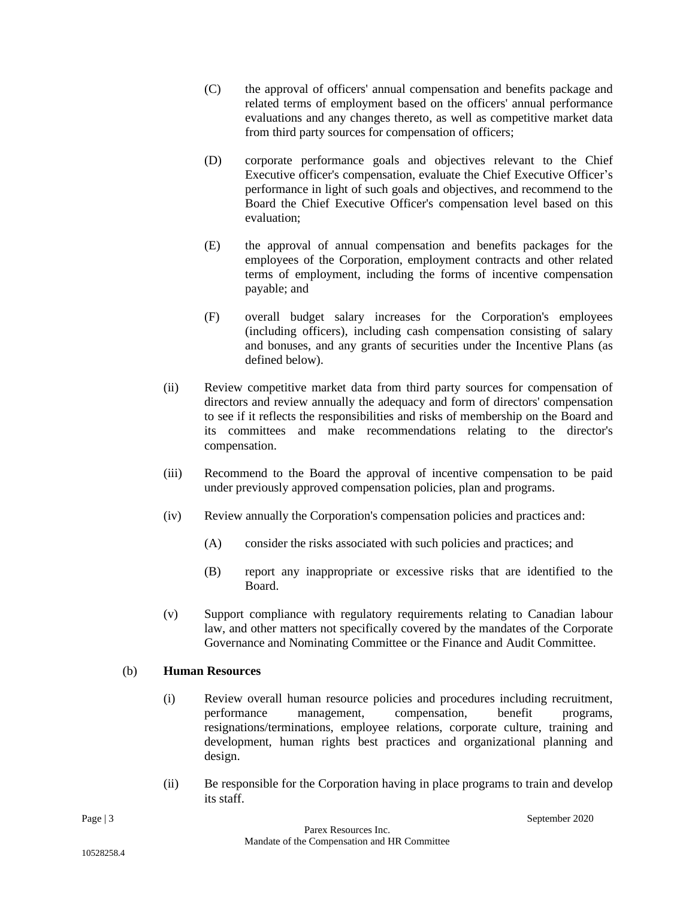- (C) the approval of officers' annual compensation and benefits package and related terms of employment based on the officers' annual performance evaluations and any changes thereto, as well as competitive market data from third party sources for compensation of officers;
- (D) corporate performance goals and objectives relevant to the Chief Executive officer's compensation, evaluate the Chief Executive Officer's performance in light of such goals and objectives, and recommend to the Board the Chief Executive Officer's compensation level based on this evaluation;
- (E) the approval of annual compensation and benefits packages for the employees of the Corporation, employment contracts and other related terms of employment, including the forms of incentive compensation payable; and
- (F) overall budget salary increases for the Corporation's employees (including officers), including cash compensation consisting of salary and bonuses, and any grants of securities under the Incentive Plans (as defined below).
- (ii) Review competitive market data from third party sources for compensation of directors and review annually the adequacy and form of directors' compensation to see if it reflects the responsibilities and risks of membership on the Board and its committees and make recommendations relating to the director's compensation.
- (iii) Recommend to the Board the approval of incentive compensation to be paid under previously approved compensation policies, plan and programs.
- (iv) Review annually the Corporation's compensation policies and practices and:
	- (A) consider the risks associated with such policies and practices; and
	- (B) report any inappropriate or excessive risks that are identified to the Board.
- (v) Support compliance with regulatory requirements relating to Canadian labour law, and other matters not specifically covered by the mandates of the Corporate Governance and Nominating Committee or the Finance and Audit Committee.

## (b) **Human Resources**

- (i) Review overall human resource policies and procedures including recruitment, performance management, compensation, benefit programs, resignations/terminations, employee relations, corporate culture, training and development, human rights best practices and organizational planning and design.
- (ii) Be responsible for the Corporation having in place programs to train and develop its staff.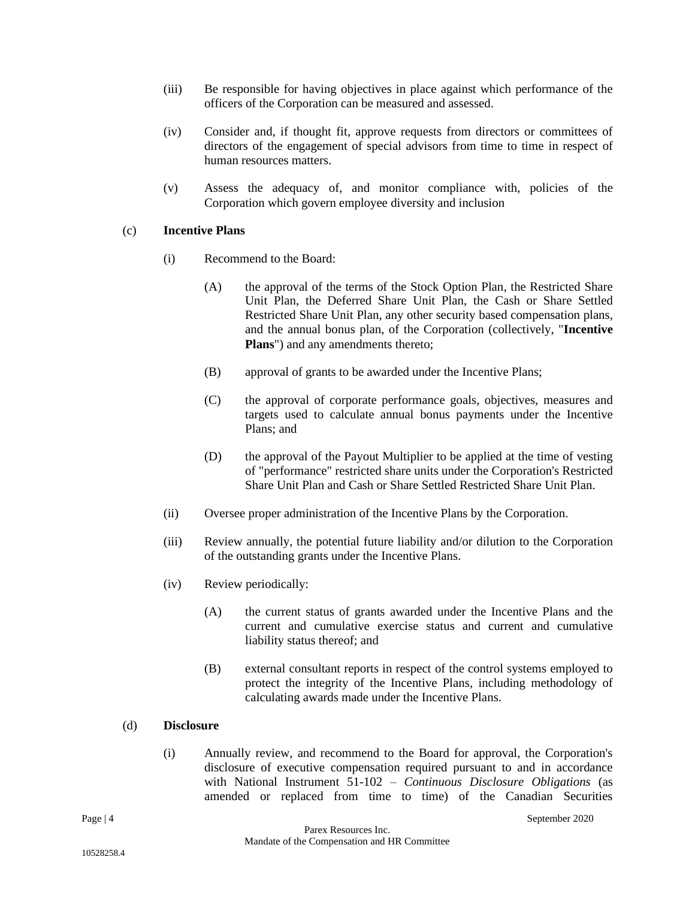- (iii) Be responsible for having objectives in place against which performance of the officers of the Corporation can be measured and assessed.
- (iv) Consider and, if thought fit, approve requests from directors or committees of directors of the engagement of special advisors from time to time in respect of human resources matters.
- (v) Assess the adequacy of, and monitor compliance with, policies of the Corporation which govern employee diversity and inclusion

## (c) **Incentive Plans**

- (i) Recommend to the Board:
	- (A) the approval of the terms of the Stock Option Plan, the Restricted Share Unit Plan, the Deferred Share Unit Plan, the Cash or Share Settled Restricted Share Unit Plan, any other security based compensation plans, and the annual bonus plan, of the Corporation (collectively, "**Incentive Plans**") and any amendments thereto;
	- (B) approval of grants to be awarded under the Incentive Plans;
	- (C) the approval of corporate performance goals, objectives, measures and targets used to calculate annual bonus payments under the Incentive Plans; and
	- (D) the approval of the Payout Multiplier to be applied at the time of vesting of "performance" restricted share units under the Corporation's Restricted Share Unit Plan and Cash or Share Settled Restricted Share Unit Plan.
- (ii) Oversee proper administration of the Incentive Plans by the Corporation.
- (iii) Review annually, the potential future liability and/or dilution to the Corporation of the outstanding grants under the Incentive Plans.
- (iv) Review periodically:
	- (A) the current status of grants awarded under the Incentive Plans and the current and cumulative exercise status and current and cumulative liability status thereof; and
	- (B) external consultant reports in respect of the control systems employed to protect the integrity of the Incentive Plans, including methodology of calculating awards made under the Incentive Plans.

#### (d) **Disclosure**

(i) Annually review, and recommend to the Board for approval, the Corporation's disclosure of executive compensation required pursuant to and in accordance with National Instrument 51-102 – *Continuous Disclosure Obligations* (as amended or replaced from time to time) of the Canadian Securities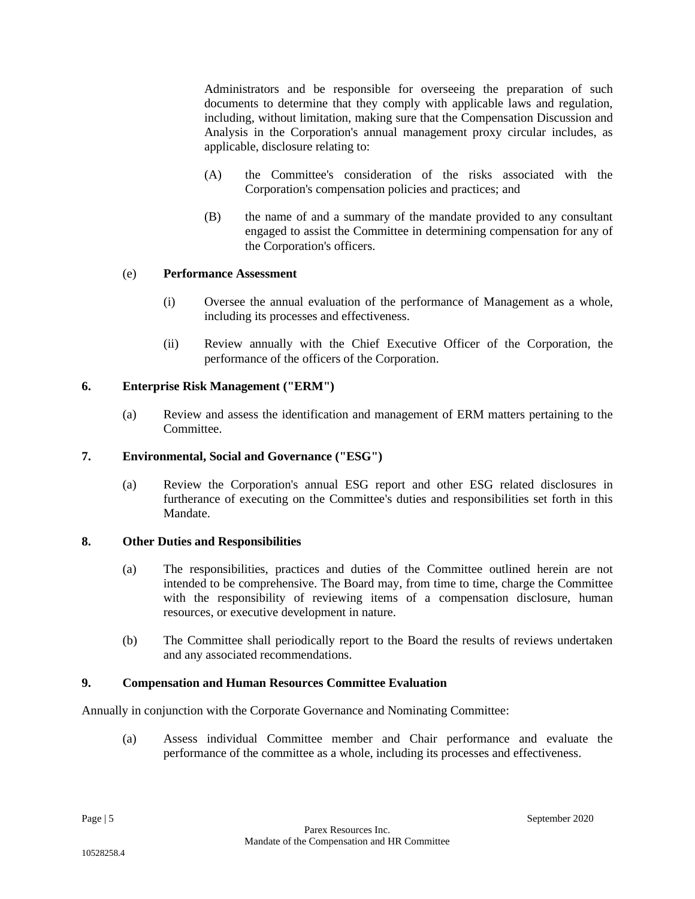Administrators and be responsible for overseeing the preparation of such documents to determine that they comply with applicable laws and regulation, including, without limitation, making sure that the Compensation Discussion and Analysis in the Corporation's annual management proxy circular includes, as applicable, disclosure relating to:

- (A) the Committee's consideration of the risks associated with the Corporation's compensation policies and practices; and
- (B) the name of and a summary of the mandate provided to any consultant engaged to assist the Committee in determining compensation for any of the Corporation's officers.

## (e) **Performance Assessment**

- (i) Oversee the annual evaluation of the performance of Management as a whole, including its processes and effectiveness.
- (ii) Review annually with the Chief Executive Officer of the Corporation, the performance of the officers of the Corporation.

## **6. Enterprise Risk Management ("ERM")**

(a) Review and assess the identification and management of ERM matters pertaining to the Committee.

## **7. Environmental, Social and Governance ("ESG")**

(a) Review the Corporation's annual ESG report and other ESG related disclosures in furtherance of executing on the Committee's duties and responsibilities set forth in this Mandate.

## **8. Other Duties and Responsibilities**

- (a) The responsibilities, practices and duties of the Committee outlined herein are not intended to be comprehensive. The Board may, from time to time, charge the Committee with the responsibility of reviewing items of a compensation disclosure, human resources, or executive development in nature.
- (b) The Committee shall periodically report to the Board the results of reviews undertaken and any associated recommendations.

## **9. Compensation and Human Resources Committee Evaluation**

Annually in conjunction with the Corporate Governance and Nominating Committee:

(a) Assess individual Committee member and Chair performance and evaluate the performance of the committee as a whole, including its processes and effectiveness.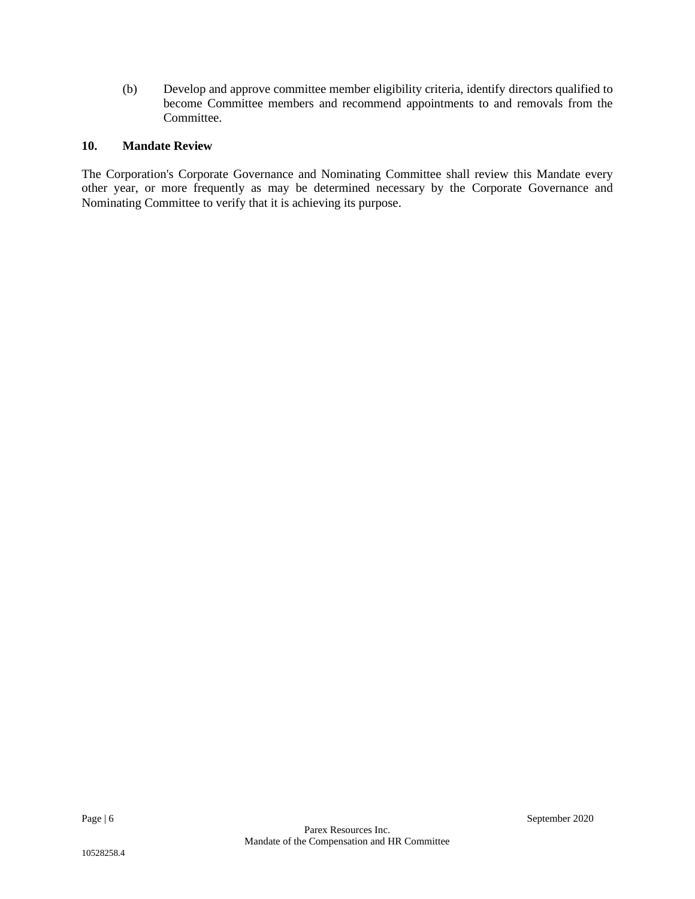(b) Develop and approve committee member eligibility criteria, identify directors qualified to become Committee members and recommend appointments to and removals from the Committee.

# **10. Mandate Review**

The Corporation's Corporate Governance and Nominating Committee shall review this Mandate every other year, or more frequently as may be determined necessary by the Corporate Governance and Nominating Committee to verify that it is achieving its purpose.